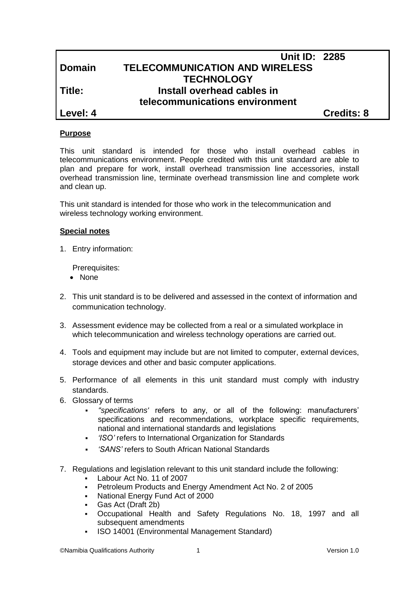|               | <b>Unit ID: 2285</b>                  |                   |
|---------------|---------------------------------------|-------------------|
| <b>Domain</b> | <b>TELECOMMUNICATION AND WIRELESS</b> |                   |
|               | <b>TECHNOLOGY</b>                     |                   |
| Title:        | Install overhead cables in            |                   |
|               | telecommunications environment        |                   |
| Level: 4      |                                       | <b>Credits: 8</b> |

## **Purpose**

This unit standard is intended for those who install overhead cables in telecommunications environment. People credited with this unit standard are able to plan and prepare for work, install overhead transmission line accessories, install overhead transmission line, terminate overhead transmission line and complete work and clean up.

This unit standard is intended for those who work in the telecommunication and wireless technology working environment.

#### **Special notes**

1. Entry information:

Prerequisites:

- None
- 2. This unit standard is to be delivered and assessed in the context of information and communication technology.
- 3. Assessment evidence may be collected from a real or a simulated workplace in which telecommunication and wireless technology operations are carried out.
- 4. Tools and equipment may include but are not limited to computer, external devices, storage devices and other and basic computer applications.
- 5. Performance of all elements in this unit standard must comply with industry standards.
- 6. Glossary of terms
	- *''specifications'* refers to any, or all of the following: manufacturers' specifications and recommendations, workplace specific requirements, national and international standards and legislations
	- *'ISO'* refers to International Organization for Standards
	- *'SANS'* refers to South African National Standards
- 7. Regulations and legislation relevant to this unit standard include the following:
	- Labour Act No. 11 of 2007
	- Petroleum Products and Energy Amendment Act No. 2 of 2005
	- National Energy Fund Act of 2000
	- Gas Act (Draft 2b)
	- Occupational Health and Safety Regulations No. 18, 1997 and all subsequent amendments
	- ISO 14001 (Environmental Management Standard)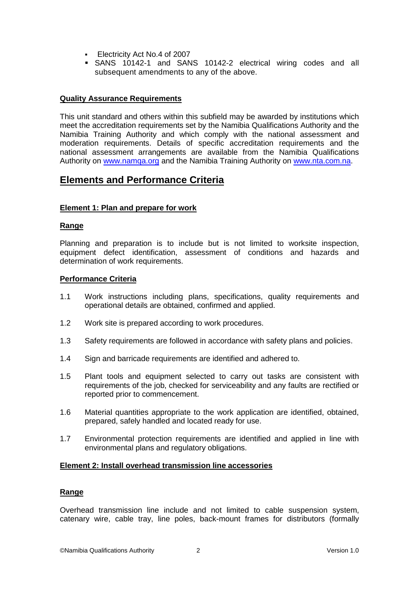- Electricity Act No.4 of 2007
- SANS 10142-1 and SANS 10142-2 electrical wiring codes and all subsequent amendments to any of the above.

## **Quality Assurance Requirements**

This unit standard and others within this subfield may be awarded by institutions which meet the accreditation requirements set by the Namibia Qualifications Authority and the Namibia Training Authority and which comply with the national assessment and moderation requirements. Details of specific accreditation requirements and the national assessment arrangements are available from the Namibia Qualifications Authority on [www.namqa.org](http://www.namqa.org/) and the Namibia Training Authority on [www.nta.com.na.](http://www.nta.com.na/)

## **Elements and Performance Criteria**

## **Element 1: Plan and prepare for work**

## **Range**

Planning and preparation is to include but is not limited to worksite inspection, equipment defect identification, assessment of conditions and hazards and determination of work requirements.

## **Performance Criteria**

- 1.1 Work instructions including plans, specifications, quality requirements and operational details are obtained, confirmed and applied.
- 1.2 Work site is prepared according to work procedures.
- 1.3 Safety requirements are followed in accordance with safety plans and policies.
- 1.4 Sign and barricade requirements are identified and adhered to.
- 1.5 Plant tools and equipment selected to carry out tasks are consistent with requirements of the job, checked for serviceability and any faults are rectified or reported prior to commencement.
- 1.6 Material quantities appropriate to the work application are identified, obtained, prepared, safely handled and located ready for use.
- 1.7 Environmental protection requirements are identified and applied in line with environmental plans and regulatory obligations.

## **Element 2: Install overhead transmission line accessories**

## **Range**

Overhead transmission line include and not limited to cable suspension system, catenary wire, cable tray, line poles, back-mount frames for distributors (formally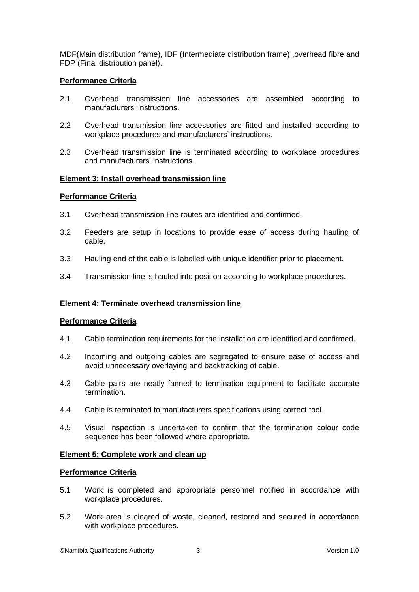MDF(Main distribution frame), IDF (Intermediate distribution frame) ,overhead fibre and FDP (Final distribution panel).

## **Performance Criteria**

- 2.1 Overhead transmission line accessories are assembled according to manufacturers' instructions.
- 2.2 Overhead transmission line accessories are fitted and installed according to workplace procedures and manufacturers' instructions.
- 2.3 Overhead transmission line is terminated according to workplace procedures and manufacturers' instructions.

## **Element 3: Install overhead transmission line**

## **Performance Criteria**

- 3.1 Overhead transmission line routes are identified and confirmed.
- 3.2 Feeders are setup in locations to provide ease of access during hauling of cable.
- 3.3 Hauling end of the cable is labelled with unique identifier prior to placement.
- 3.4 Transmission line is hauled into position according to workplace procedures.

## **Element 4: Terminate overhead transmission line**

## **Performance Criteria**

- 4.1 Cable termination requirements for the installation are identified and confirmed.
- 4.2 Incoming and outgoing cables are segregated to ensure ease of access and avoid unnecessary overlaying and backtracking of cable.
- 4.3 Cable pairs are neatly fanned to termination equipment to facilitate accurate termination.
- 4.4 Cable is terminated to manufacturers specifications using correct tool.
- 4.5 Visual inspection is undertaken to confirm that the termination colour code sequence has been followed where appropriate.

## **Element 5: Complete work and clean up**

## **Performance Criteria**

- 5.1 Work is completed and appropriate personnel notified in accordance with workplace procedures.
- 5.2 Work area is cleared of waste, cleaned, restored and secured in accordance with workplace procedures.